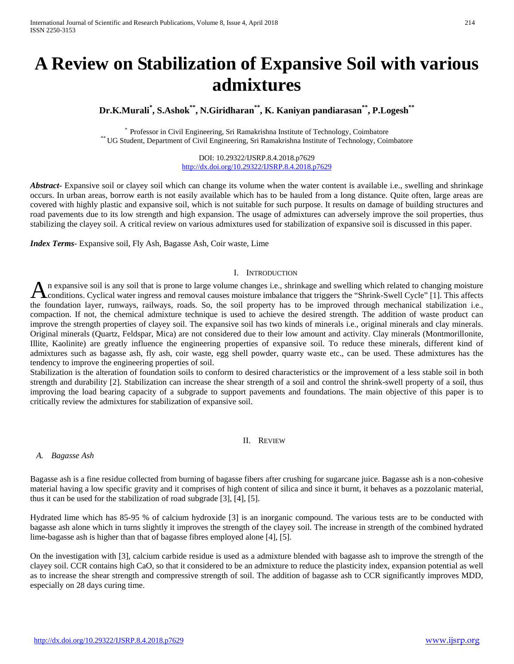# **A Review on Stabilization of Expansive Soil with various admixtures**

## **Dr.K.Murali\* , S.Ashok\*\*, N.Giridharan\*\*, K. Kaniyan pandiarasan\*\*, P.Logesh\*\***

\* Professor in Civil Engineering, Sri Ramakrishna Institute of Technology, Coimbatore \*\* UG Student, Department of Civil Engineering, Sri Ramakrishna Institute of Technology, Coimbatore

DOI: 10.29322/IJSRP.8.4.2018.p7629 <http://dx.doi.org/10.29322/IJSRP.8.4.2018.p7629>

*Abstract***-** Expansive soil or clayey soil which can change its volume when the water content is available i.e., swelling and shrinkage occurs. In urban areas, borrow earth is not easily available which has to be hauled from a long distance. Quite often, large areas are covered with highly plastic and expansive soil, which is not suitable for such purpose. It results on damage of building structures and road pavements due to its low strength and high expansion. The usage of admixtures can adversely improve the soil properties, thus stabilizing the clayey soil. A critical review on various admixtures used for stabilization of expansive soil is discussed in this paper.

*Index Terms*- Expansive soil, Fly Ash, Bagasse Ash, Coir waste, Lime

#### I. INTRODUCTION

n expansive soil is any soil that is prone to large volume changes i.e., shrinkage and swelling which related to changing moisture An expansive soil is any soil that is prone to large volume changes i.e., shrinkage and swelling which related to changing moisture conditions. Cyclical water ingress and removal causes moisture imbalance that triggers the the foundation layer, runways, railways, roads. So, the soil property has to be improved through mechanical stabilization i.e., compaction. If not, the chemical admixture technique is used to achieve the desired strength. The addition of waste product can improve the strength properties of clayey soil. The expansive soil has two kinds of minerals i.e., original minerals and clay minerals. Original minerals (Quartz, Feldspar, Mica) are not considered due to their low amount and activity. Clay minerals (Montmorillonite, Illite, Kaolinite) are greatly influence the engineering properties of expansive soil. To reduce these minerals, different kind of admixtures such as bagasse ash, fly ash, coir waste, egg shell powder, quarry waste etc., can be used. These admixtures has the tendency to improve the engineering properties of soil.

Stabilization is the alteration of foundation soils to conform to desired characteristics or the improvement of a less stable soil in both strength and durability [2]. Stabilization can increase the shear strength of a soil and control the shrink-swell property of a soil, thus improving the load bearing capacity of a subgrade to support pavements and foundations. The main objective of this paper is to critically review the admixtures for stabilization of expansive soil.

II. REVIEW

#### *A. Bagasse Ash*

Bagasse ash is a fine residue collected from burning of bagasse fibers after crushing for sugarcane juice. Bagasse ash is a non-cohesive material having a low specific gravity and it comprises of high content of silica and since it burnt, it behaves as a pozzolanic material, thus it can be used for the stabilization of road subgrade [3], [4], [5].

Hydrated lime which has 85-95 % of calcium hydroxide [3] is an inorganic compound. The various tests are to be conducted with bagasse ash alone which in turns slightly it improves the strength of the clayey soil. The increase in strength of the combined hydrated lime-bagasse ash is higher than that of bagasse fibres employed alone [4], [5].

On the investigation with [3], calcium carbide residue is used as a admixture blended with bagasse ash to improve the strength of the clayey soil. CCR contains high CaO, so that it considered to be an admixture to reduce the plasticity index, expansion potential as well as to increase the shear strength and compressive strength of soil. The addition of bagasse ash to CCR significantly improves MDD, especially on 28 days curing time.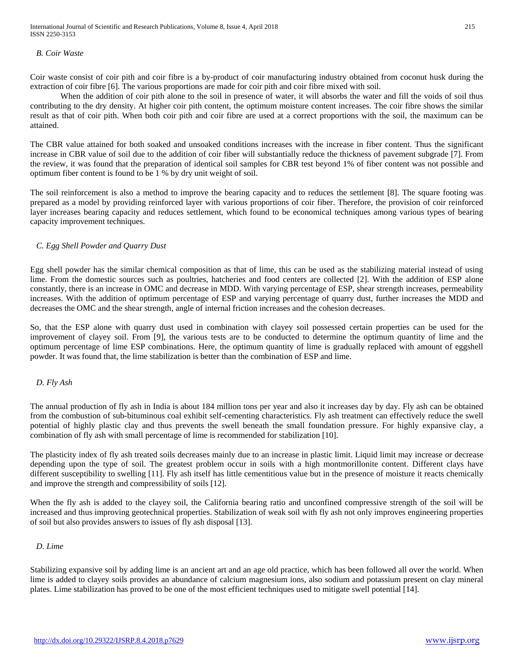International Journal of Scientific and Research Publications, Volume 8, Issue 4, April 2018 215 ISSN 2250-3153

### *B. Coir Waste*

Coir waste consist of coir pith and coir fibre is a by-product of coir manufacturing industry obtained from coconut husk during the extraction of coir fibre [6]. The various proportions are made for coir pith and coir fibre mixed with soil.

When the addition of coir pith alone to the soil in presence of water, it will absorbs the water and fill the voids of soil thus contributing to the dry density. At higher coir pith content, the optimum moisture content increases. The coir fibre shows the similar result as that of coir pith. When both coir pith and coir fibre are used at a correct proportions with the soil, the maximum can be attained.

The CBR value attained for both soaked and unsoaked conditions increases with the increase in fiber content. Thus the significant increase in CBR value of soil due to the addition of coir fiber will substantially reduce the thickness of pavement subgrade [7]. From the review, it was found that the preparation of identical soil samples for CBR test beyond 1% of fiber content was not possible and optimum fiber content is found to be 1 % by dry unit weight of soil.

The soil reinforcement is also a method to improve the bearing capacity and to reduces the settlement [8]. The square footing was prepared as a model by providing reinforced layer with various proportions of coir fiber. Therefore, the provision of coir reinforced layer increases bearing capacity and reduces settlement, which found to be economical techniques among various types of bearing capacity improvement techniques.

#### *C. Egg Shell Powder and Quarry Dust*

Egg shell powder has the similar chemical composition as that of lime, this can be used as the stabilizing material instead of using lime. From the domestic sources such as poultries, hatcheries and food centers are collected [2]. With the addition of ESP alone constantly, there is an increase in OMC and decrease in MDD. With varying percentage of ESP, shear strength increases, permeability increases. With the addition of optimum percentage of ESP and varying percentage of quarry dust, further increases the MDD and decreases the OMC and the shear strength, angle of internal friction increases and the cohesion decreases.

So, that the ESP alone with quarry dust used in combination with clayey soil possessed certain properties can be used for the improvement of clayey soil. From [9], the various tests are to be conducted to determine the optimum quantity of lime and the optimum percentage of lime ESP combinations. Here, the optimum quantity of lime is gradually replaced with amount of eggshell powder. It was found that, the lime stabilization is better than the combination of ESP and lime.

#### *D. Fly Ash*

The annual production of fly ash in India is about 184 million tons per year and also it increases day by day. Fly ash can be obtained from the combustion of sub-bituminous coal exhibit self-cementing characteristics. Fly ash treatment can effectively reduce the swell potential of highly plastic clay and thus prevents the swell beneath the small foundation pressure. For highly expansive clay, a combination of fly ash with small percentage of lime is recommended for stabilization [10].

The plasticity index of fly ash treated soils decreases mainly due to an increase in plastic limit. Liquid limit may increase or decrease depending upon the type of soil. The greatest problem occur in soils with a high montmorillonite content. Different clays have different susceptibility to swelling [11]. Fly ash itself has little cementitious value but in the presence of moisture it reacts chemically and improve the strength and compressibility of soils [12].

When the fly ash is added to the clayey soil, the California bearing ratio and unconfined compressive strength of the soil will be increased and thus improving geotechnical properties. Stabilization of weak soil with fly ash not only improves engineering properties of soil but also provides answers to issues of fly ash disposal [13].

#### *D. Lime*

Stabilizing expansive soil by adding lime is an ancient art and an age old practice, which has been followed all over the world. When lime is added to clayey soils provides an abundance of calcium magnesium ions, also sodium and potassium present on clay mineral plates. Lime stabilization has proved to be one of the most efficient techniques used to mitigate swell potential [14].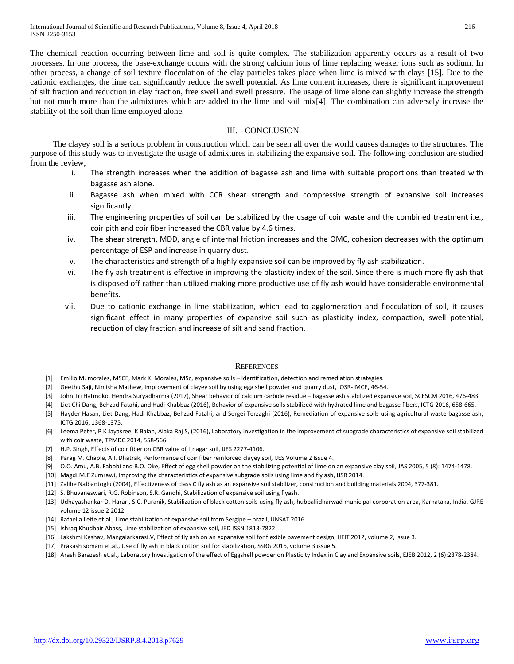The chemical reaction occurring between lime and soil is quite complex. The stabilization apparently occurs as a result of two processes. In one process, the base-exchange occurs with the strong calcium ions of lime replacing weaker ions such as sodium. In other process, a change of soil texture flocculation of the clay particles takes place when lime is mixed with clays [15]. Due to the cationic exchanges, the lime can significantly reduce the swell potential. As lime content increases, there is significant improvement of silt fraction and reduction in clay fraction, free swell and swell pressure. The usage of lime alone can slightly increase the strength but not much more than the admixtures which are added to the lime and soil mix[4]. The combination can adversely increase the stability of the soil than lime employed alone.

#### III. CONCLUSION

The clayey soil is a serious problem in construction which can be seen all over the world causes damages to the structures. The purpose of this study was to investigate the usage of admixtures in stabilizing the expansive soil. The following conclusion are studied from the review,

- i. The strength increases when the addition of bagasse ash and lime with suitable proportions than treated with bagasse ash alone.
- ii. Bagasse ash when mixed with CCR shear strength and compressive strength of expansive soil increases significantly.
- iii. The engineering properties of soil can be stabilized by the usage of coir waste and the combined treatment i.e., coir pith and coir fiber increased the CBR value by 4.6 times.
- iv. The shear strength, MDD, angle of internal friction increases and the OMC, cohesion decreases with the optimum percentage of ESP and increase in quarry dust.
- v. The characteristics and strength of a highly expansive soil can be improved by fly ash stabilization.
- vi. The fly ash treatment is effective in improving the plasticity index of the soil. Since there is much more fly ash that is disposed off rather than utilized making more productive use of fly ash would have considerable environmental benefits.
- vii. Due to cationic exchange in lime stabilization, which lead to agglomeration and flocculation of soil, it causes significant effect in many properties of expansive soil such as plasticity index, compaction, swell potential, reduction of clay fraction and increase of silt and sand fraction.

#### **REFERENCES**

- [1] Emilio M. morales, MSCE, Mark K. Morales, MSc, expansive soils identification, detection and remediation strategies.
- [2] Geethu Saji, Nimisha Mathew, Improvement of clayey soil by using egg shell powder and quarry dust, IOSR-JMCE, 46-54.
- [3] John Tri Hatmoko, Hendra Suryadharma (2017), Shear behavior of calcium carbide residue bagasse ash stabilized expansive soil, SCESCM 2016, 476-483.
- [4] Liet Chi Dang, Behzad Fatahi, and Hadi Khabbaz (2016), Behavior of expansive soils stabilized with hydrated lime and bagasse fibers, ICTG 2016, 658-665.
- [5] Hayder Hasan, Liet Dang, Hadi Khabbaz, Behzad Fatahi, and Sergei Terzaghi (2016), Remediation of expansive soils using agricultural waste bagasse ash, ICTG 2016, 1368-1375.
- [6] Leema Peter, P K Jayasree, K Balan, Alaka Raj S, (2016), Laboratory investigation in the improvement of subgrade characteristics of expansive soil stabilized with coir waste, TPMDC 2014, 558-566.
- [7] H.P. Singh, Effects of coir fiber on CBR value of Itnagar soil, IJES 2277-4106.
- [8] Parag M. Chaple, A I. Dhatrak, Performance of coir fiber reinforced clayey soil, IJES Volume 2 Issue 4.
- [9] O.O. Amu, A.B. Fabobi and B.O. Oke, Effect of egg shell powder on the stabilizing potential of lime on an expansive clay soil, JAS 2005, 5 (8): 1474-1478.
- [10] Magdi M.E Zumrawi, Improving the characteristics of expansive subgrade soils using lime and fly ash, IJSR 2014.
- [11] Zalihe Nalbantoglu (2004), Effectiveness of class C fly ash as an expansive soil stabilizer, construction and building materials 2004, 377-381.
- [12] S. Bhuvaneswari, R.G. Robinson, S.R. Gandhi, Stabilization of expansive soil using flyash.
- [13] Udhayashankar D. Harari, S.C. Puranik, Stabilization of black cotton soils using fly ash, hubballidharwad municipal corporation area, Karnataka, India, GJRE volume 12 issue 2 2012.
- [14] Rafaella Leite et.al., Lime stabilization of expansive soil from Sergipe brazil, UNSAT 2016.
- [15] Ishraq Khudhair Abass, Lime stabilization of expansive soil, JED ISSN 1813-7822.
- [16] Lakshmi Keshav, Mangaiarkarasi.V, Effect of fly ash on an expansive soil for flexible pavement design, IJEIT 2012, volume 2, issue 3.
- [17] Prakash somani et.al., Use of fly ash in black cotton soil for stabilization, SSRG 2016, volume 3 issue 5.
- [18] Arash Barazesh et.al., Laboratory Investigation of the effect of Eggshell powder on Plasticity Index in Clay and Expansive soils, EJEB 2012, 2 (6):2378-2384.